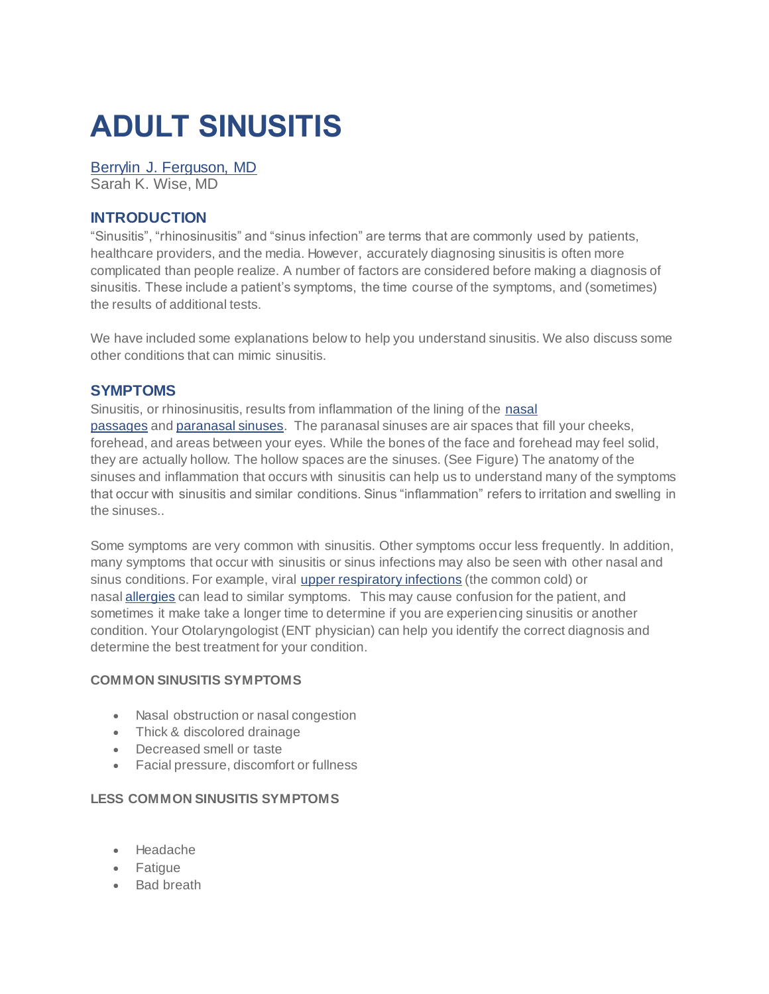# **ADULT SINUSITIS**

## [Berrylin J. Ferguson, MD](http://care.american-rhinologic.org/SpecialistDetail.cfm?SpecialistID=2)

Sarah K. Wise, MD

## **INTRODUCTION**

"Sinusitis", "rhinosinusitis" and "sinus infection" are terms that are commonly used by patients, healthcare providers, and the media. However, accurately diagnosing sinusitis is often more complicated than people realize. A number of factors are considered before making a diagnosis of sinusitis. These include a patient's symptoms, the time course of the symptoms, and (sometimes) the results of additional tests.

We have included some explanations below to help you understand sinusitis. We also discuss some other conditions that can mimic sinusitis.

#### **SYMPTOMS**

Sinusitis, or rhinosinusitis, results from inflammation of the lining of the [nasal](http://care.american-rhinologic.org/nasal_anatomy)  [passages](http://care.american-rhinologic.org/nasal_anatomy) and [paranasal sinuses.](http://care.american-rhinologic.org/sinus_anatomy) The paranasal sinuses are air spaces that fill your cheeks, forehead, and areas between your eyes. While the bones of the face and forehead may feel solid, they are actually hollow. The hollow spaces are the sinuses. (See Figure) The anatomy of the sinuses and inflammation that occurs with sinusitis can help us to understand many of the symptoms that occur with sinusitis and similar conditions. Sinus "inflammation" refers to irritation and swelling in the sinuses..

Some symptoms are very common with sinusitis. Other symptoms occur less frequently. In addition, many symptoms that occur with sinusitis or sinus infections may also be seen with other nasal and sinus conditions. For example, viral [upper respiratory infections](http://care.american-rhinologic.org/upper_respiratory_infections) (the common cold) or nasal **[allergies](http://care.american-rhinologic.org/allergic_rhinitis)** can lead to similar symptoms. This may cause confusion for the patient, and sometimes it make take a longer time to determine if you are experiencing sinusitis or another condition. Your Otolaryngologist (ENT physician) can help you identify the correct diagnosis and determine the best treatment for your condition.

#### **COMMON SINUSITIS SYMPTOMS**

- Nasal obstruction or nasal congestion
- Thick & discolored drainage
- Decreased smell or taste
- Facial pressure, discomfort or fullness

#### **LESS COMMON SINUSITIS SYMPTOMS**

- Headache
- Fatigue
- Bad breath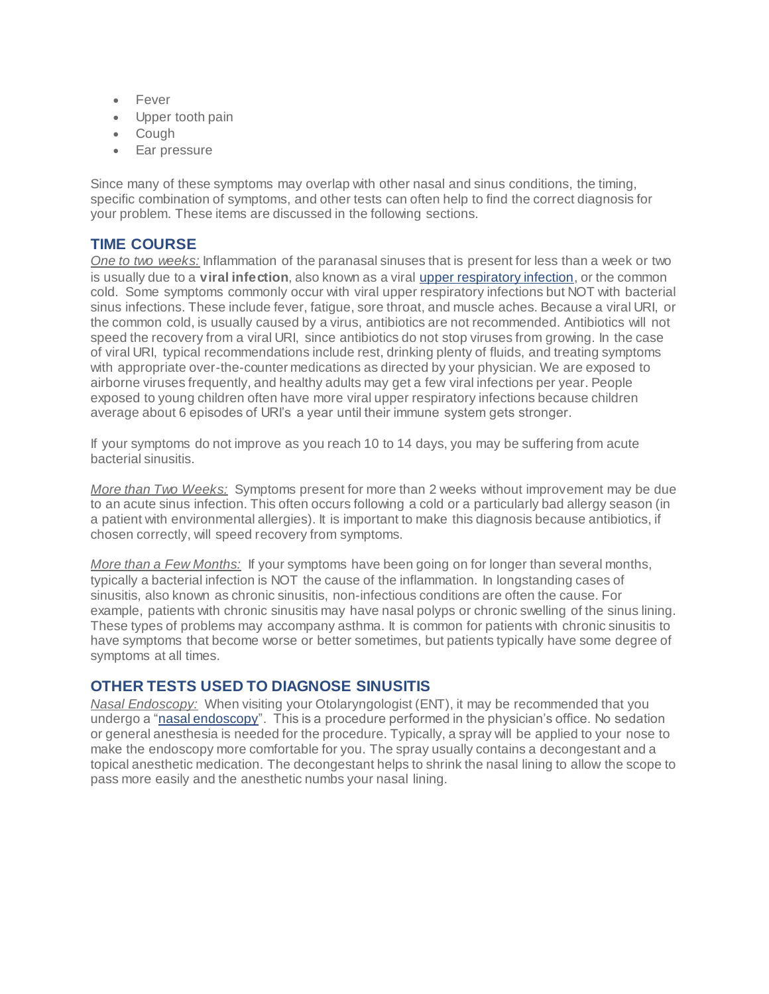- Fever
- Upper tooth pain
- Cough
- Ear pressure

Since many of these symptoms may overlap with other nasal and sinus conditions, the timing, specific combination of symptoms, and other tests can often help to find the correct diagnosis for your problem. These items are discussed in the following sections.

## **TIME COURSE**

*One to two weeks:* Inflammation of the paranasal sinuses that is present for less than a week or two is usually due to a **viral infection**, also known as a viral [upper respiratory infection](http://care.american-rhinologic.org/upper_respiratory_infection), or the common cold. Some symptoms commonly occur with viral upper respiratory infections but NOT with bacterial sinus infections. These include fever, fatigue, sore throat, and muscle aches. Because a viral URI, or the common cold, is usually caused by a virus, antibiotics are not recommended. Antibiotics will not speed the recovery from a viral URI, since antibiotics do not stop viruses from growing. In the case of viral URI, typical recommendations include rest, drinking plenty of fluids, and treating symptoms with appropriate over-the-counter medications as directed by your physician. We are exposed to airborne viruses frequently, and healthy adults may get a few viral infections per year. People exposed to young children often have more viral upper respiratory infections because children average about 6 episodes of URI's a year until their immune system gets stronger.

If your symptoms do not improve as you reach 10 to 14 days, you may be suffering from acute bacterial sinusitis.

*More than Two Weeks:* Symptoms present for more than 2 weeks without improvement may be due to an acute sinus infection. This often occurs following a cold or a particularly bad allergy season (in a patient with environmental allergies). It is important to make this diagnosis because antibiotics, if chosen correctly, will speed recovery from symptoms.

*More than a Few Months:* If your symptoms have been going on for longer than several months, typically a bacterial infection is NOT the cause of the inflammation. In longstanding cases of sinusitis, also known as chronic sinusitis, non-infectious conditions are often the cause. For example, patients with chronic sinusitis may have nasal polyps or chronic swelling of the sinus lining. These types of problems may accompany asthma. It is common for patients with chronic sinusitis to have symptoms that become worse or better sometimes, but patients typically have some degree of symptoms at all times.

# **OTHER TESTS USED TO DIAGNOSE SINUSITIS**

*Nasal Endoscopy:* When visiting your Otolaryngologist (ENT), it may be recommended that you undergo a " $n$ asal endoscopy". This is a procedure performed in the physician's office. No sedation or general anesthesia is needed for the procedure. Typically, a spray will be applied to your nose to make the endoscopy more comfortable for you. The spray usually contains a decongestant and a topical anesthetic medication. The decongestant helps to shrink the nasal lining to allow the scope to pass more easily and the anesthetic numbs your nasal lining.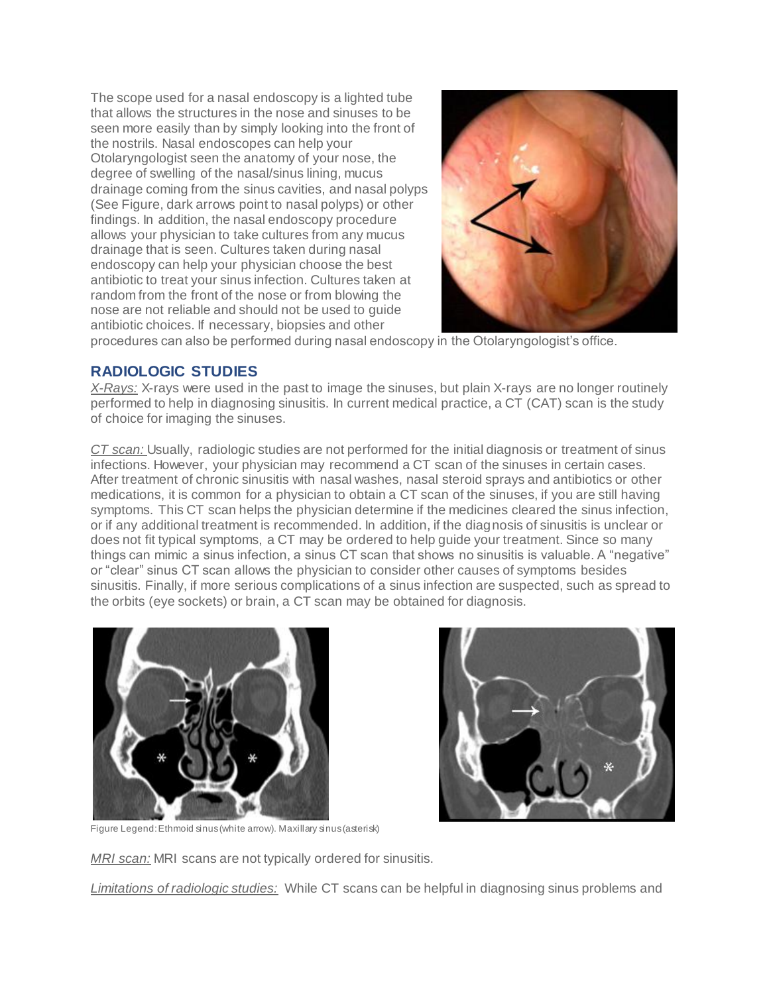The scope used for a nasal endoscopy is a lighted tube that allows the structures in the nose and sinuses to be seen more easily than by simply looking into the front of the nostrils. Nasal endoscopes can help your Otolaryngologist seen the anatomy of your nose, the degree of swelling of the nasal/sinus lining, mucus drainage coming from the sinus cavities, and nasal polyps (See Figure, dark arrows point to nasal polyps) or other findings. In addition, the nasal endoscopy procedure allows your physician to take cultures from any mucus drainage that is seen. Cultures taken during nasal endoscopy can help your physician choose the best antibiotic to treat your sinus infection. Cultures taken at random from the front of the nose or from blowing the nose are not reliable and should not be used to guide antibiotic choices. If necessary, biopsies and other



procedures can also be performed during nasal endoscopy in the Otolaryngologist's office.

# **RADIOLOGIC STUDIES**

*X-Rays:* X-rays were used in the past to image the sinuses, but plain X-rays are no longer routinely performed to help in diagnosing sinusitis. In current medical practice, a CT (CAT) scan is the study of choice for imaging the sinuses.

*CT scan:* Usually, radiologic studies are not performed for the initial diagnosis or treatment of sinus infections. However, your physician may recommend a CT scan of the sinuses in certain cases. After treatment of chronic sinusitis with nasal washes, nasal steroid sprays and antibiotics or other medications, it is common for a physician to obtain a CT scan of the sinuses, if you are still having symptoms. This CT scan helps the physician determine if the medicines cleared the sinus infection, or if any additional treatment is recommended. In addition, if the diagnosis of sinusitis is unclear or does not fit typical symptoms, a CT may be ordered to help guide your treatment. Since so many things can mimic a sinus infection, a sinus CT scan that shows no sinusitis is valuable. A "negative" or "clear" sinus CT scan allows the physician to consider other causes of symptoms besides sinusitis. Finally, if more serious complications of a sinus infection are suspected, such as spread to the orbits (eye sockets) or brain, a CT scan may be obtained for diagnosis.





Figure Legend: Ethmoid sinus (white arrow). Maxillary sinus (asterisk)

*MRI scan:* MRI scans are not typically ordered for sinusitis.

*Limitations of radiologic studies:* While CT scans can be helpful in diagnosing sinus problems and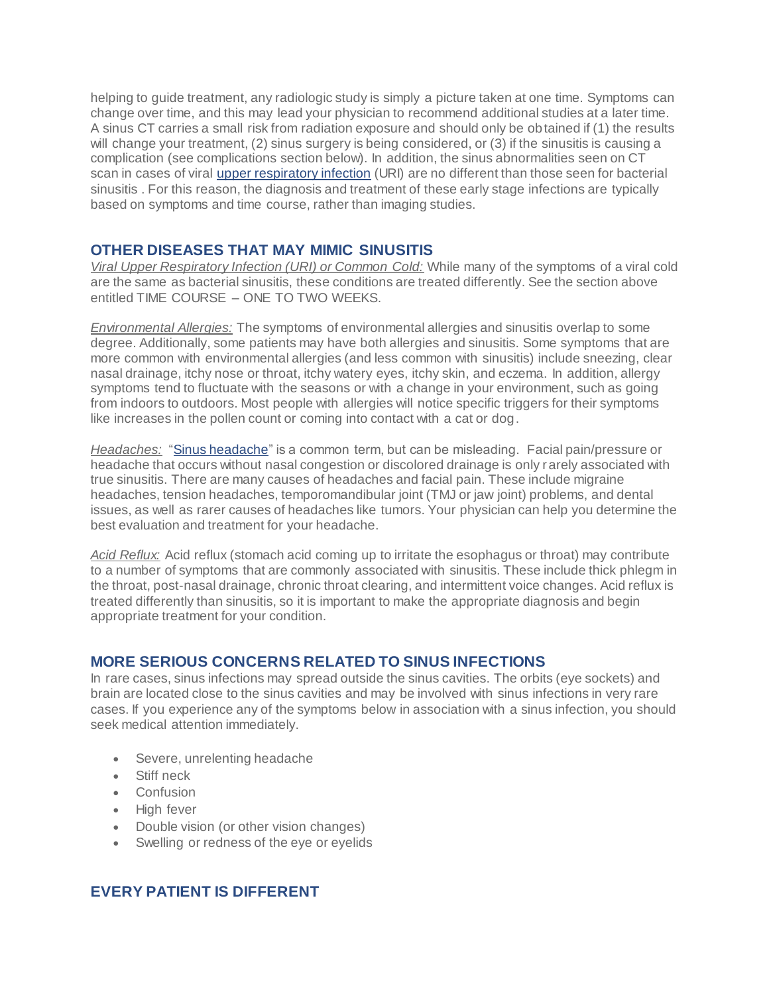helping to guide treatment, any radiologic study is simply a picture taken at one time. Symptoms can change over time, and this may lead your physician to recommend additional studies at a later time. A sinus CT carries a small risk from radiation exposure and should only be obtained if (1) the results will change your treatment, (2) sinus surgery is being considered, or (3) if the sinusitis is causing a complication (see complications section below). In addition, the sinus abnormalities seen on CT scan in cases of viral [upper respiratory infection](http://care.american-rhinologic.org/upper_respiratory_infections) (URI) are no different than those seen for bacterial sinusitis . For this reason, the diagnosis and treatment of these early stage infections are typically based on symptoms and time course, rather than imaging studies.

#### **OTHER DISEASES THAT MAY MIMIC SINUSITIS**

*Viral Upper Respiratory Infection (URI) or Common Cold:* While many of the symptoms of a viral cold are the same as bacterial sinusitis, these conditions are treated differently. See the section above entitled TIME COURSE – ONE TO TWO WEEKS.

*Environmental Allergies:* The symptoms of environmental allergies and sinusitis overlap to some degree. Additionally, some patients may have both allergies and sinusitis. Some symptoms that are more common with environmental allergies (and less common with sinusitis) include sneezing, clear nasal drainage, itchy nose or throat, itchy watery eyes, itchy skin, and eczema. In addition, allergy symptoms tend to fluctuate with the seasons or with a change in your environment, such as going from indoors to outdoors. Most people with allergies will notice specific triggers for their symptoms like increases in the pollen count or coming into contact with a cat or dog.

*Headaches:* ["Sinus headache"](http://care.american-rhinologic.org/headaches_and_sinus_disease) is a common term, but can be misleading. Facial pain/pressure or headache that occurs without nasal congestion or discolored drainage is only rarely associated with true sinusitis. There are many causes of headaches and facial pain. These include migraine headaches, tension headaches, temporomandibular joint (TMJ or jaw joint) problems, and dental issues, as well as rarer causes of headaches like tumors. Your physician can help you determine the best evaluation and treatment for your headache.

*Acid Reflux:* Acid reflux (stomach acid coming up to irritate the esophagus or throat) may contribute to a number of symptoms that are commonly associated with sinusitis. These include thick phlegm in the throat, post-nasal drainage, chronic throat clearing, and intermittent voice changes. Acid reflux is treated differently than sinusitis, so it is important to make the appropriate diagnosis and begin appropriate treatment for your condition.

# **MORE SERIOUS CONCERNS RELATED TO SINUS INFECTIONS**

In rare cases, sinus infections may spread outside the sinus cavities. The orbits (eye sockets) and brain are located close to the sinus cavities and may be involved with sinus infections in very rare cases. If you experience any of the symptoms below in association with a sinus infection, you should seek medical attention immediately.

- Severe, unrelenting headache
- Stiff neck
- Confusion
- High fever
- Double vision (or other vision changes)
- Swelling or redness of the eye or eyelids

# **EVERY PATIENT IS DIFFERENT**